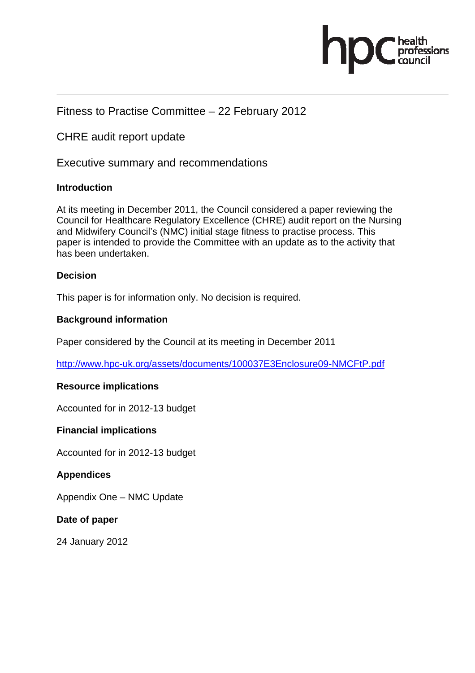

# Fitness to Practise Committee – 22 February 2012

CHRE audit report update

Executive summary and recommendations

### **Introduction**

At its meeting in December 2011, the Council considered a paper reviewing the Council for Healthcare Regulatory Excellence (CHRE) audit report on the Nursing and Midwifery Council's (NMC) initial stage fitness to practise process. This paper is intended to provide the Committee with an update as to the activity that has been undertaken.

### **Decision**

This paper is for information only. No decision is required.

### **Background information**

Paper considered by the Council at its meeting in December 2011

http://www.hpc-uk.org/assets/documents/100037E3Enclosure09-NMCFtP.pdf

## **Resource implications**

Accounted for in 2012-13 budget

### **Financial implications**

Accounted for in 2012-13 budget

## **Appendices**

Appendix One – NMC Update

### **Date of paper**

24 January 2012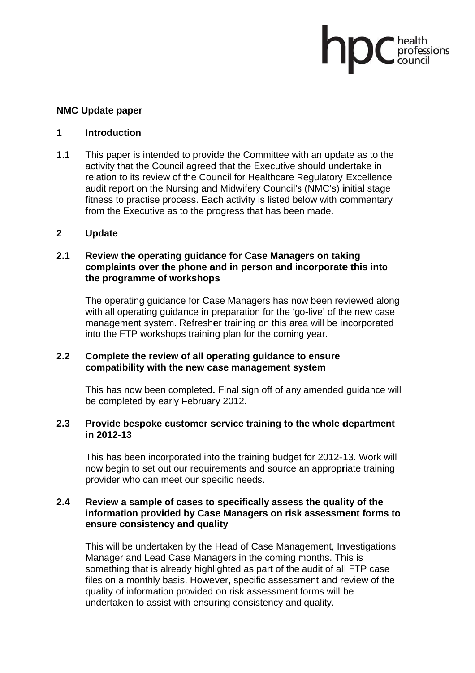### **NMC Update paper**

#### $\mathbf 1$ **Introduction**

 $1.1$ This paper is intended to provide the Committee with an update as to the activity that the Council agreed that the Executive should undertake in relation to its review of the Council for Healthcare Regulatory Excellence audit report on the Nursing and Midwifery Council's (NMC's) initial stage fitness to practise process. Each activity is listed below with commentary from the Executive as to the progress that has been made.

fessions

#### $2<sup>1</sup>$ **Update**

### $2.1$ Review the operating guidance for Case Managers on taking complaints over the phone and in person and incorporate this into the programme of workshops

The operating guidance for Case Managers has now been reviewed along with all operating quidance in preparation for the 'go-live' of the new case management system. Refresher training on this area will be incorporated into the FTP workshops training plan for the coming year.

#### $2.2$ Complete the review of all operating quidance to ensure compatibility with the new case management system

This has now been completed. Final sign off of any amended guidance will be completed by early February 2012.

#### $2.3$ Provide bespoke customer service training to the whole department in 2012-13

This has been incorporated into the training budget for 2012-13. Work will now begin to set out our requirements and source an appropriate training provider who can meet our specific needs.

### $2.4$ Review a sample of cases to specifically assess the quality of the information provided by Case Managers on risk assessment forms to ensure consistency and quality

This will be undertaken by the Head of Case Management. Investigations Manager and Lead Case Managers in the coming months. This is something that is already highlighted as part of the audit of all FTP case files on a monthly basis. However, specific assessment and review of the quality of information provided on risk assessment forms will be undertaken to assist with ensuring consistency and quality.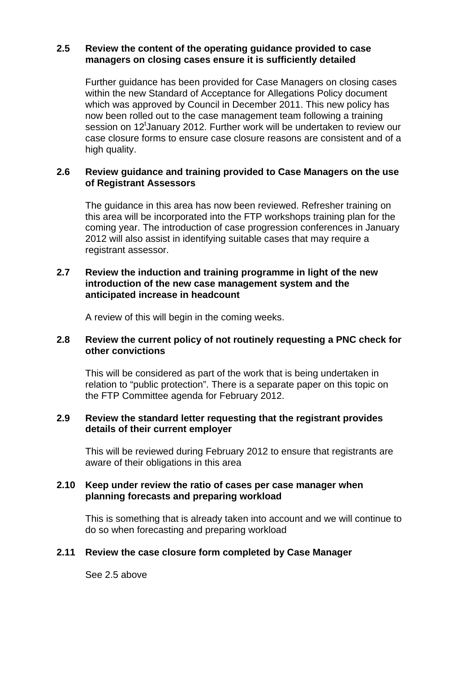### **2.5 Review the content of the operating guidance provided to case managers on closing cases ensure it is sufficiently detailed**

 Further guidance has been provided for Case Managers on closing cases within the new Standard of Acceptance for Allegations Policy document which was approved by Council in December 2011. This new policy has now been rolled out to the case management team following a training session on 12<sup>t</sup>January 2012. Further work will be undertaken to review our case closure forms to ensure case closure reasons are consistent and of a high quality.

### **2.6 Review guidance and training provided to Case Managers on the use of Registrant Assessors**

The guidance in this area has now been reviewed. Refresher training on this area will be incorporated into the FTP workshops training plan for the coming year. The introduction of case progression conferences in January 2012 will also assist in identifying suitable cases that may require a registrant assessor.

### **2.7 Review the induction and training programme in light of the new introduction of the new case management system and the anticipated increase in headcount**

A review of this will begin in the coming weeks.

### **2.8 Review the current policy of not routinely requesting a PNC check for other convictions**

This will be considered as part of the work that is being undertaken in relation to "public protection". There is a separate paper on this topic on the FTP Committee agenda for February 2012.

### **2.9 Review the standard letter requesting that the registrant provides details of their current employer**

This will be reviewed during February 2012 to ensure that registrants are aware of their obligations in this area

### **2.10 Keep under review the ratio of cases per case manager when planning forecasts and preparing workload**

This is something that is already taken into account and we will continue to do so when forecasting and preparing workload

## **2.11 Review the case closure form completed by Case Manager**

See 2.5 above